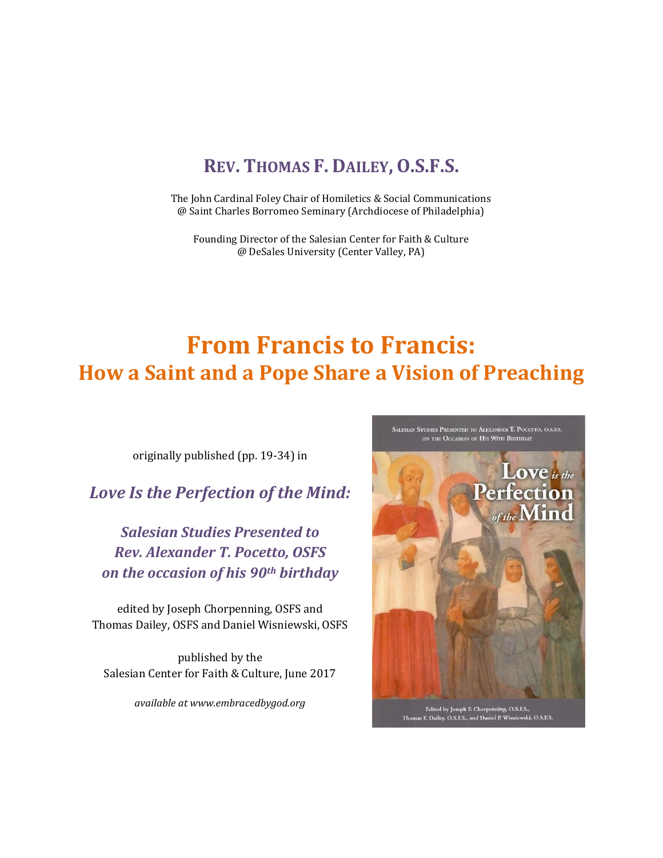# **REV. THOMAS F. DAILEY, O.S.F.S.**

The John Cardinal Foley Chair of Homiletics & Social Communications @ Saint Charles Borromeo Seminary (Archdiocese of Philadelphia)

Founding Director of the Salesian Center for Faith & Culture @ DeSales University (Center Valley, PA)

# **From Francis to Francis: How a Saint and a Pope Share a Vision of Preaching**

originally published (pp. 19-34) in

*Love Is the Perfection of the Mind:*

*Salesian Studies Presented to Rev. Alexander T. Pocetto, OSFS on the occasion of his 90th birthday*

edited by Joseph Chorpenning, OSFS and Thomas Dailey, OSFS and Daniel Wisniewski, OSFS

published by the Salesian Center for Faith & Culture, June 2017

*available at www.embracedbygod.org*

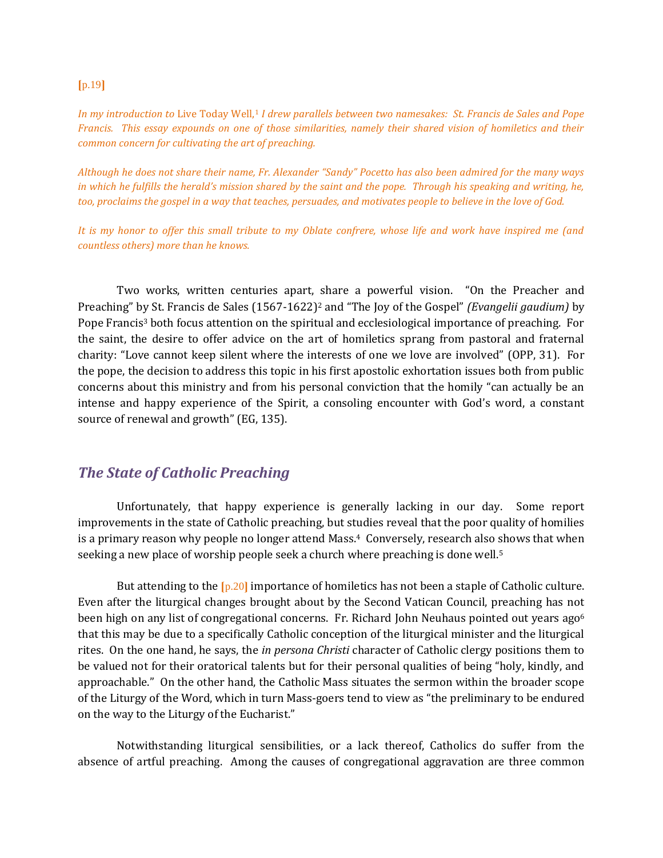#### $[p.19]$

*In my introduction to* Live Today Well,<sup>1</sup> *I drew parallels between two namesakes: St. Francis de Sales and Pope Francis. This essay expounds on one of those similarities, namely their shared vision of homiletics and their common concern for cultivating the art of preaching.* 

*Although he does not share their name, Fr. Alexander "Sandy" Pocetto has also been admired for the many ways in which he fulfills the herald's mission shared by the saint and the pope. Through his speaking and writing, he, too, proclaims the gospel in a way that teaches, persuades, and motivates people to believe in the love of God.* 

*It is my honor to offer this small tribute to my Oblate confrere, whose life and work have inspired me (and countless others) more than he knows.*

Two works, written centuries apart, share a powerful vision. "On the Preacher and Preaching" by St. Francis de Sales (1567-1622)<sup>2</sup> and "The Joy of the Gospel" *(Evangelii gaudium)* by Pope Francis<sup>3</sup> both focus attention on the spiritual and ecclesiological importance of preaching. For the saint, the desire to offer advice on the art of homiletics sprang from pastoral and fraternal charity: "Love cannot keep silent where the interests of one we love are involved" (OPP, 31). For the pope, the decision to address this topic in his first apostolic exhortation issues both from public concerns about this ministry and from his personal conviction that the homily "can actually be an intense and happy experience of the Spirit, a consoling encounter with God's word, a constant source of renewal and growth" (EG, 135).

#### *The State of Catholic Preaching*

Unfortunately, that happy experience is generally lacking in our day. Some report improvements in the state of Catholic preaching, but studies reveal that the poor quality of homilies is a primary reason why people no longer attend Mass.4 Conversely, research also shows that when seeking a new place of worship people seek a church where preaching is done well.<sup>5</sup>

But attending to the  $[p.20]$  importance of homiletics has not been a staple of Catholic culture. Even after the liturgical changes brought about by the Second Vatican Council, preaching has not been high on any list of congregational concerns. Fr. Richard John Neuhaus pointed out years ago<sup>6</sup> that this may be due to a specifically Catholic conception of the liturgical minister and the liturgical rites. On the one hand, he says, the *in persona Christi* character of Catholic clergy positions them to be valued not for their oratorical talents but for their personal qualities of being "holy, kindly, and approachable." On the other hand, the Catholic Mass situates the sermon within the broader scope of the Liturgy of the Word, which in turn Mass-goers tend to view as "the preliminary to be endured on the way to the Liturgy of the Eucharist."

Notwithstanding liturgical sensibilities, or a lack thereof, Catholics do suffer from the absence of artful preaching. Among the causes of congregational aggravation are three common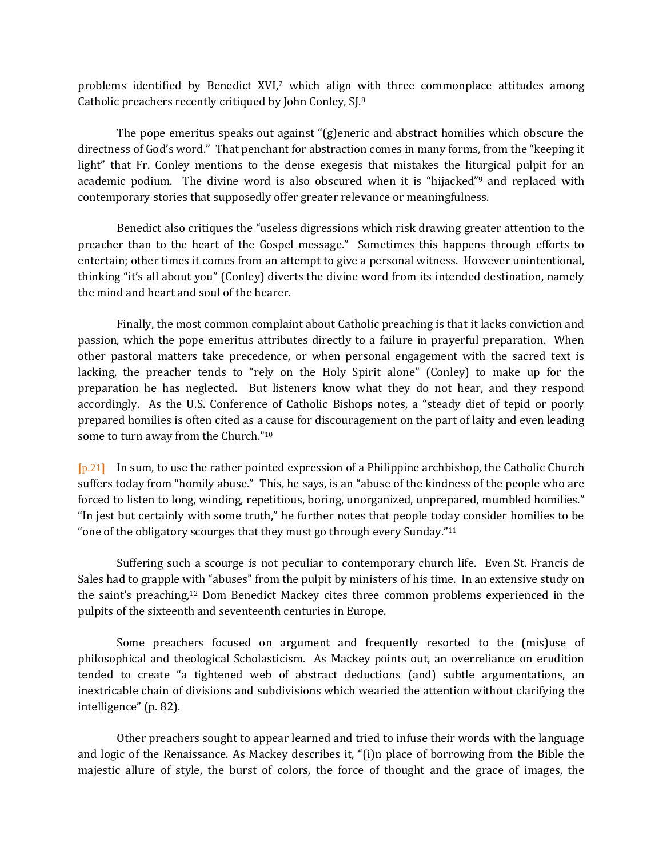problems identified by Benedict XVI,<sup>7</sup> which align with three commonplace attitudes among Catholic preachers recently critiqued by John Conley, SJ.<sup>8</sup>

The pope emeritus speaks out against "(g)eneric and abstract homilies which obscure the directness of God's word." That penchant for abstraction comes in many forms, from the "keeping it light" that Fr. Conley mentions to the dense exegesis that mistakes the liturgical pulpit for an academic podium. The divine word is also obscured when it is "hijacked"<sup>9</sup> and replaced with contemporary stories that supposedly offer greater relevance or meaningfulness.

Benedict also critiques the "useless digressions which risk drawing greater attention to the preacher than to the heart of the Gospel message." Sometimes this happens through efforts to entertain; other times it comes from an attempt to give a personal witness. However unintentional, thinking "it's all about you" (Conley) diverts the divine word from its intended destination, namely the mind and heart and soul of the hearer.

Finally, the most common complaint about Catholic preaching is that it lacks conviction and passion, which the pope emeritus attributes directly to a failure in prayerful preparation. When other pastoral matters take precedence, or when personal engagement with the sacred text is lacking, the preacher tends to "rely on the Holy Spirit alone" (Conley) to make up for the preparation he has neglected. But listeners know what they do not hear, and they respond accordingly. As the U.S. Conference of Catholic Bishops notes, a "steady diet of tepid or poorly prepared homilies is often cited as a cause for discouragement on the part of laity and even leading some to turn away from the Church."<sup>10</sup>

⦗p.21⦘ In sum, to use the rather pointed expression of a Philippine archbishop, the Catholic Church suffers today from "homily abuse." This, he says, is an "abuse of the kindness of the people who are forced to listen to long, winding, repetitious, boring, unorganized, unprepared, mumbled homilies." "In jest but certainly with some truth," he further notes that people today consider homilies to be "one of the obligatory scourges that they must go through every Sunday."<sup>11</sup>

Suffering such a scourge is not peculiar to contemporary church life. Even St. Francis de Sales had to grapple with "abuses" from the pulpit by ministers of his time. In an extensive study on the saint's preaching,<sup>12</sup> Dom Benedict Mackey cites three common problems experienced in the pulpits of the sixteenth and seventeenth centuries in Europe.

Some preachers focused on argument and frequently resorted to the (mis)use of philosophical and theological Scholasticism. As Mackey points out, an overreliance on erudition tended to create "a tightened web of abstract deductions (and) subtle argumentations, an inextricable chain of divisions and subdivisions which wearied the attention without clarifying the intelligence" (p. 82).

Other preachers sought to appear learned and tried to infuse their words with the language and logic of the Renaissance. As Mackey describes it, "(i)n place of borrowing from the Bible the majestic allure of style, the burst of colors, the force of thought and the grace of images, the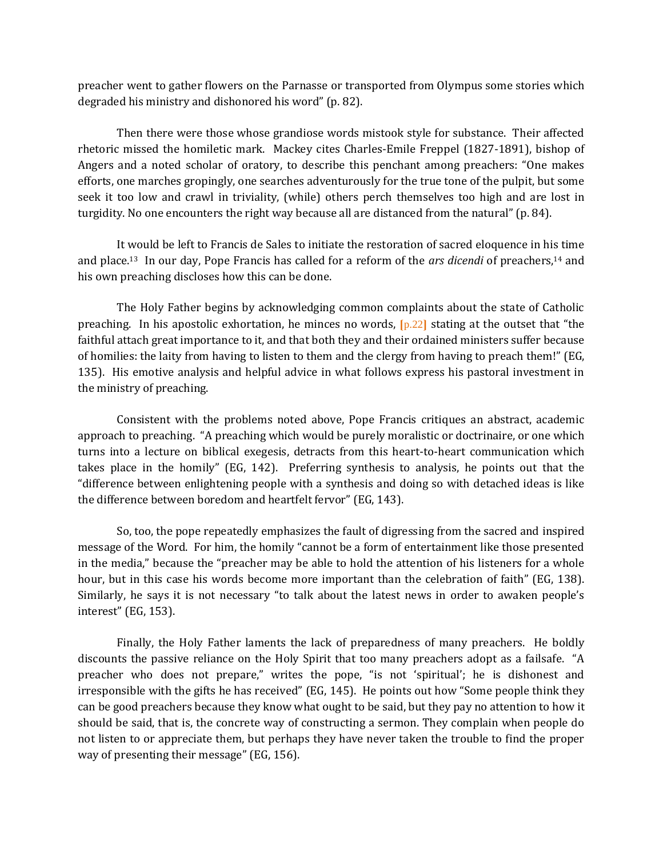preacher went to gather flowers on the Parnasse or transported from Olympus some stories which degraded his ministry and dishonored his word" (p. 82).

Then there were those whose grandiose words mistook style for substance. Their affected rhetoric missed the homiletic mark. Mackey cites Charles-Emile Freppel (1827-1891), bishop of Angers and a noted scholar of oratory, to describe this penchant among preachers: "One makes efforts, one marches gropingly, one searches adventurously for the true tone of the pulpit, but some seek it too low and crawl in triviality, (while) others perch themselves too high and are lost in turgidity. No one encounters the right way because all are distanced from the natural" (p. 84).

It would be left to Francis de Sales to initiate the restoration of sacred eloquence in his time and place.13 In our day, Pope Francis has called for a reform of the *ars dicendi* of preachers,<sup>14</sup> and his own preaching discloses how this can be done.

The Holy Father begins by acknowledging common complaints about the state of Catholic preaching. In his apostolic exhortation, he minces no words,  $[p.22]$  stating at the outset that "the faithful attach great importance to it, and that both they and their ordained ministers suffer because of homilies: the laity from having to listen to them and the clergy from having to preach them!" (EG, 135). His emotive analysis and helpful advice in what follows express his pastoral investment in the ministry of preaching.

Consistent with the problems noted above, Pope Francis critiques an abstract, academic approach to preaching. "A preaching which would be purely moralistic or doctrinaire, or one which turns into a lecture on biblical exegesis, detracts from this heart-to-heart communication which takes place in the homily" (EG, 142). Preferring synthesis to analysis, he points out that the "difference between enlightening people with a synthesis and doing so with detached ideas is like the difference between boredom and heartfelt fervor" (EG, 143).

So, too, the pope repeatedly emphasizes the fault of digressing from the sacred and inspired message of the Word. For him, the homily "cannot be a form of entertainment like those presented in the media," because the "preacher may be able to hold the attention of his listeners for a whole hour, but in this case his words become more important than the celebration of faith" (EG, 138). Similarly, he says it is not necessary "to talk about the latest news in order to awaken people's interest" (EG, 153).

Finally, the Holy Father laments the lack of preparedness of many preachers. He boldly discounts the passive reliance on the Holy Spirit that too many preachers adopt as a failsafe. "A preacher who does not prepare," writes the pope, "is not 'spiritual'; he is dishonest and irresponsible with the gifts he has received" (EG, 145). He points out how "Some people think they can be good preachers because they know what ought to be said, but they pay no attention to how it should be said, that is, the concrete way of constructing a sermon. They complain when people do not listen to or appreciate them, but perhaps they have never taken the trouble to find the proper way of presenting their message" (EG, 156).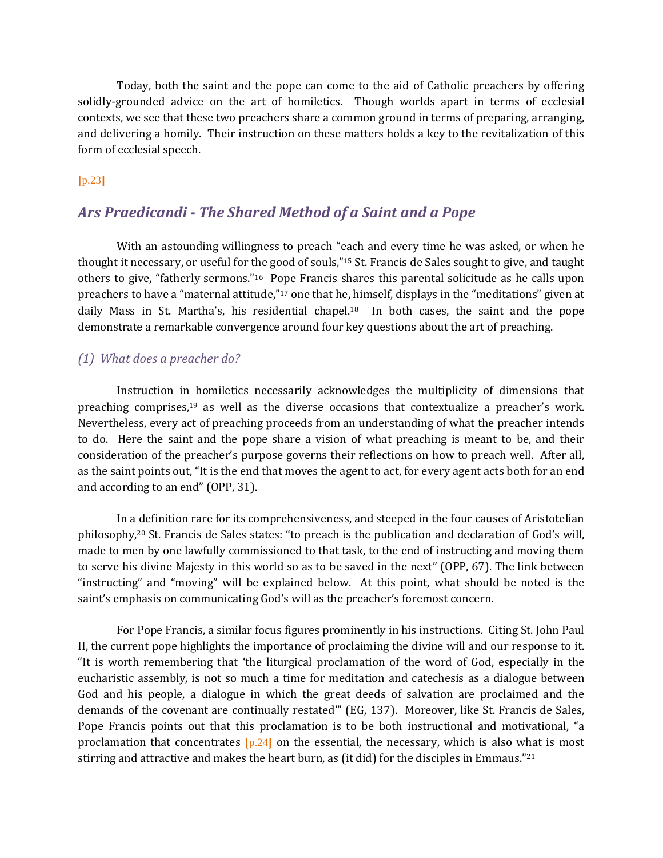Today, both the saint and the pope can come to the aid of Catholic preachers by offering solidly-grounded advice on the art of homiletics. Though worlds apart in terms of ecclesial contexts, we see that these two preachers share a common ground in terms of preparing, arranging, and delivering a homily. Their instruction on these matters holds a key to the revitalization of this form of ecclesial speech.

### $[p.23]$

## *Ars Praedicandi - The Shared Method of a Saint and a Pope*

With an astounding willingness to preach "each and every time he was asked, or when he thought it necessary, or useful for the good of souls,"<sup>15</sup> St. Francis de Sales sought to give, and taught others to give, "fatherly sermons."16 Pope Francis shares this parental solicitude as he calls upon preachers to have a "maternal attitude,"<sup>17</sup> one that he, himself, displays in the "meditations" given at daily Mass in St. Martha's, his residential chapel.18 In both cases, the saint and the pope demonstrate a remarkable convergence around four key questions about the art of preaching.

#### *(1) What does a preacher do?*

Instruction in homiletics necessarily acknowledges the multiplicity of dimensions that preaching comprises,<sup>19</sup> as well as the diverse occasions that contextualize a preacher's work. Nevertheless, every act of preaching proceeds from an understanding of what the preacher intends to do. Here the saint and the pope share a vision of what preaching is meant to be, and their consideration of the preacher's purpose governs their reflections on how to preach well. After all, as the saint points out, "It is the end that moves the agent to act, for every agent acts both for an end and according to an end" (OPP, 31).

In a definition rare for its comprehensiveness, and steeped in the four causes of Aristotelian philosophy,<sup>20</sup> St. Francis de Sales states: "to preach is the publication and declaration of God's will, made to men by one lawfully commissioned to that task, to the end of instructing and moving them to serve his divine Majesty in this world so as to be saved in the next" (OPP, 67). The link between "instructing" and "moving" will be explained below. At this point, what should be noted is the saint's emphasis on communicating God's will as the preacher's foremost concern.

For Pope Francis, a similar focus figures prominently in his instructions. Citing St. John Paul II, the current pope highlights the importance of proclaiming the divine will and our response to it. "It is worth remembering that 'the liturgical proclamation of the word of God, especially in the eucharistic assembly, is not so much a time for meditation and catechesis as a dialogue between God and his people, a dialogue in which the great deeds of salvation are proclaimed and the demands of the covenant are continually restated'" (EG, 137). Moreover, like St. Francis de Sales, Pope Francis points out that this proclamation is to be both instructional and motivational, "a proclamation that concentrates  $[p.24]$  on the essential, the necessary, which is also what is most stirring and attractive and makes the heart burn, as (it did) for the disciples in Emmaus."21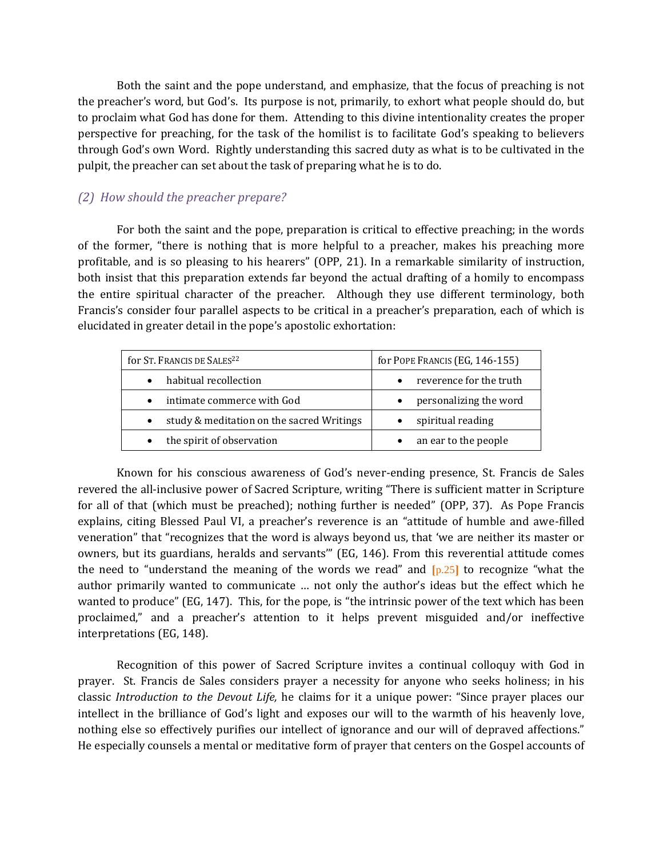Both the saint and the pope understand, and emphasize, that the focus of preaching is not the preacher's word, but God's. Its purpose is not, primarily, to exhort what people should do, but to proclaim what God has done for them. Attending to this divine intentionality creates the proper perspective for preaching, for the task of the homilist is to facilitate God's speaking to believers through God's own Word. Rightly understanding this sacred duty as what is to be cultivated in the pulpit, the preacher can set about the task of preparing what he is to do.

### *(2) How should the preacher prepare?*

For both the saint and the pope, preparation is critical to effective preaching; in the words of the former, "there is nothing that is more helpful to a preacher, makes his preaching more profitable, and is so pleasing to his hearers" (OPP, 21). In a remarkable similarity of instruction, both insist that this preparation extends far beyond the actual drafting of a homily to encompass the entire spiritual character of the preacher. Although they use different terminology, both Francis's consider four parallel aspects to be critical in a preacher's preparation, each of which is elucidated in greater detail in the pope's apostolic exhortation:

| for St. FRANCIS DE SALES <sup>22</sup>                 | for POPE FRANCIS (EG, 146-155)      |
|--------------------------------------------------------|-------------------------------------|
| habitual recollection<br>$\bullet$                     | reverence for the truth             |
| intimate commerce with God<br>$\bullet$                | personalizing the word<br>$\bullet$ |
| study & meditation on the sacred Writings<br>$\bullet$ | spiritual reading                   |
| the spirit of observation                              | an ear to the people                |

Known for his conscious awareness of God's never-ending presence, St. Francis de Sales revered the all-inclusive power of Sacred Scripture, writing "There is sufficient matter in Scripture for all of that (which must be preached); nothing further is needed" (OPP, 37). As Pope Francis explains, citing Blessed Paul VI, a preacher's reverence is an "attitude of humble and awe-filled veneration" that "recognizes that the word is always beyond us, that 'we are neither its master or owners, but its guardians, heralds and servants'" (EG, 146). From this reverential attitude comes the need to "understand the meaning of the words we read" and  $[p.25]$  to recognize "what the author primarily wanted to communicate … not only the author's ideas but the effect which he wanted to produce" (EG, 147). This, for the pope, is "the intrinsic power of the text which has been proclaimed," and a preacher's attention to it helps prevent misguided and/or ineffective interpretations (EG, 148).

Recognition of this power of Sacred Scripture invites a continual colloquy with God in prayer. St. Francis de Sales considers prayer a necessity for anyone who seeks holiness; in his classic *Introduction to the Devout Life,* he claims for it a unique power: "Since prayer places our intellect in the brilliance of God's light and exposes our will to the warmth of his heavenly love, nothing else so effectively purifies our intellect of ignorance and our will of depraved affections." He especially counsels a mental or meditative form of prayer that centers on the Gospel accounts of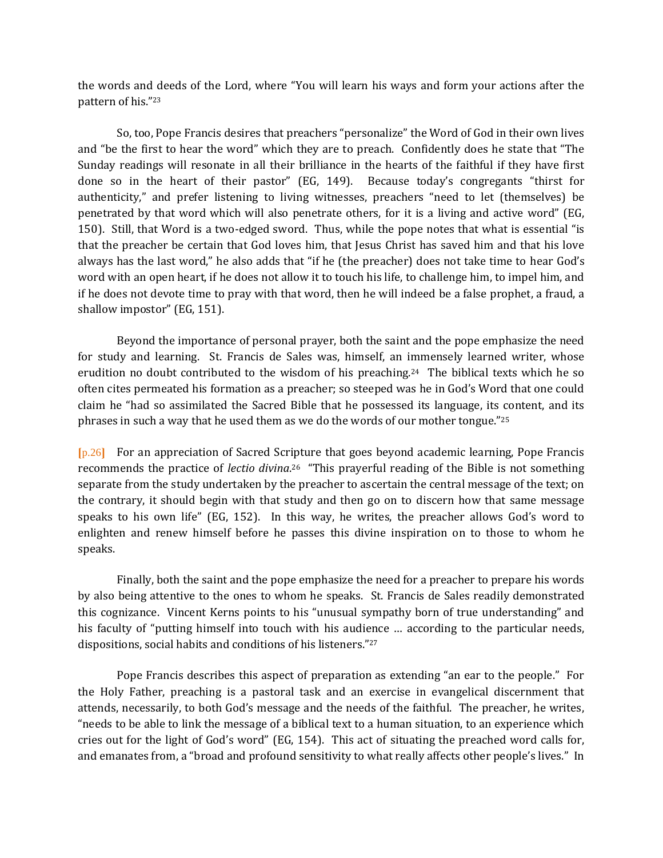the words and deeds of the Lord, where "You will learn his ways and form your actions after the pattern of his."<sup>23</sup>

So, too, Pope Francis desires that preachers "personalize" the Word of God in their own lives and "be the first to hear the word" which they are to preach. Confidently does he state that "The Sunday readings will resonate in all their brilliance in the hearts of the faithful if they have first done so in the heart of their pastor" (EG, 149). Because today's congregants "thirst for authenticity," and prefer listening to living witnesses, preachers "need to let (themselves) be penetrated by that word which will also penetrate others, for it is a living and active word" (EG, 150). Still, that Word is a two-edged sword. Thus, while the pope notes that what is essential "is that the preacher be certain that God loves him, that Jesus Christ has saved him and that his love always has the last word," he also adds that "if he (the preacher) does not take time to hear God's word with an open heart, if he does not allow it to touch his life, to challenge him, to impel him, and if he does not devote time to pray with that word, then he will indeed be a false prophet, a fraud, a shallow impostor" (EG, 151).

Beyond the importance of personal prayer, both the saint and the pope emphasize the need for study and learning. St. Francis de Sales was, himself, an immensely learned writer, whose erudition no doubt contributed to the wisdom of his preaching.24 The biblical texts which he so often cites permeated his formation as a preacher; so steeped was he in God's Word that one could claim he "had so assimilated the Sacred Bible that he possessed its language, its content, and its phrases in such a way that he used them as we do the words of our mother tongue."<sup>25</sup>

⦗p.26⦘ For an appreciation of Sacred Scripture that goes beyond academic learning, Pope Francis recommends the practice of *lectio divina*.<sup>26</sup> "This prayerful reading of the Bible is not something separate from the study undertaken by the preacher to ascertain the central message of the text; on the contrary, it should begin with that study and then go on to discern how that same message speaks to his own life" (EG, 152). In this way, he writes, the preacher allows God's word to enlighten and renew himself before he passes this divine inspiration on to those to whom he speaks.

Finally, both the saint and the pope emphasize the need for a preacher to prepare his words by also being attentive to the ones to whom he speaks. St. Francis de Sales readily demonstrated this cognizance. Vincent Kerns points to his "unusual sympathy born of true understanding" and his faculty of "putting himself into touch with his audience … according to the particular needs, dispositions, social habits and conditions of his listeners."<sup>27</sup>

Pope Francis describes this aspect of preparation as extending "an ear to the people." For the Holy Father, preaching is a pastoral task and an exercise in evangelical discernment that attends, necessarily, to both God's message and the needs of the faithful. The preacher, he writes, "needs to be able to link the message of a biblical text to a human situation, to an experience which cries out for the light of God's word" (EG, 154). This act of situating the preached word calls for, and emanates from, a "broad and profound sensitivity to what really affects other people's lives." In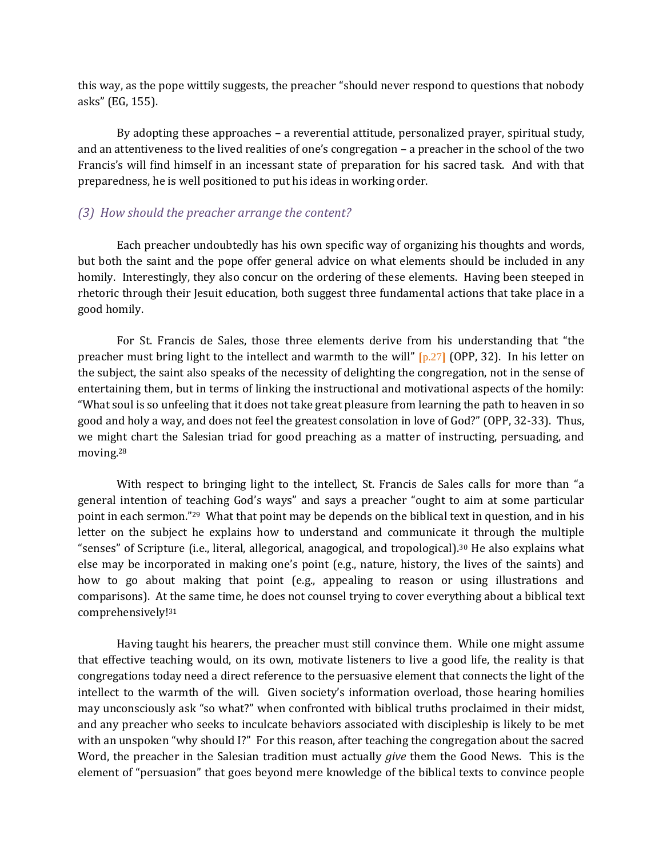this way, as the pope wittily suggests, the preacher "should never respond to questions that nobody asks" (EG, 155).

By adopting these approaches – a reverential attitude, personalized prayer, spiritual study, and an attentiveness to the lived realities of one's congregation – a preacher in the school of the two Francis's will find himself in an incessant state of preparation for his sacred task. And with that preparedness, he is well positioned to put his ideas in working order.

#### *(3) How should the preacher arrange the content?*

Each preacher undoubtedly has his own specific way of organizing his thoughts and words, but both the saint and the pope offer general advice on what elements should be included in any homily. Interestingly, they also concur on the ordering of these elements. Having been steeped in rhetoric through their Jesuit education, both suggest three fundamental actions that take place in a good homily.

For St. Francis de Sales, those three elements derive from his understanding that "the preacher must bring light to the intellect and warmth to the will"  $[p.27]$  (OPP, 32). In his letter on the subject, the saint also speaks of the necessity of delighting the congregation, not in the sense of entertaining them, but in terms of linking the instructional and motivational aspects of the homily: "What soul is so unfeeling that it does not take great pleasure from learning the path to heaven in so good and holy a way, and does not feel the greatest consolation in love of God?" (OPP, 32-33). Thus, we might chart the Salesian triad for good preaching as a matter of instructing, persuading, and moving.<sup>28</sup>

With respect to bringing light to the intellect, St. Francis de Sales calls for more than "a general intention of teaching God's ways" and says a preacher "ought to aim at some particular point in each sermon."29 What that point may be depends on the biblical text in question, and in his letter on the subject he explains how to understand and communicate it through the multiple "senses" of Scripture (i.e., literal, allegorical, anagogical, and tropological).<sup>30</sup> He also explains what else may be incorporated in making one's point (e.g., nature, history, the lives of the saints) and how to go about making that point (e.g., appealing to reason or using illustrations and comparisons). At the same time, he does not counsel trying to cover everything about a biblical text comprehensively!<sup>31</sup>

Having taught his hearers, the preacher must still convince them. While one might assume that effective teaching would, on its own, motivate listeners to live a good life, the reality is that congregations today need a direct reference to the persuasive element that connects the light of the intellect to the warmth of the will. Given society's information overload, those hearing homilies may unconsciously ask "so what?" when confronted with biblical truths proclaimed in their midst, and any preacher who seeks to inculcate behaviors associated with discipleship is likely to be met with an unspoken "why should I?" For this reason, after teaching the congregation about the sacred Word, the preacher in the Salesian tradition must actually *give* them the Good News. This is the element of "persuasion" that goes beyond mere knowledge of the biblical texts to convince people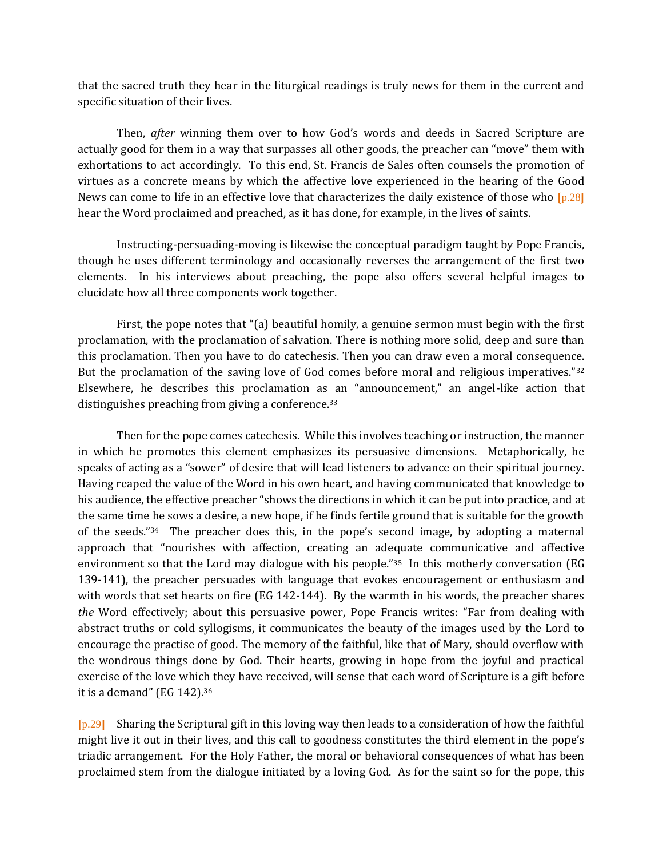that the sacred truth they hear in the liturgical readings is truly news for them in the current and specific situation of their lives.

Then, *after* winning them over to how God's words and deeds in Sacred Scripture are actually good for them in a way that surpasses all other goods, the preacher can "move" them with exhortations to act accordingly. To this end, St. Francis de Sales often counsels the promotion of virtues as a concrete means by which the affective love experienced in the hearing of the Good News can come to life in an effective love that characterizes the daily existence of those who  $[p.28]$ hear the Word proclaimed and preached, as it has done, for example, in the lives of saints.

Instructing-persuading-moving is likewise the conceptual paradigm taught by Pope Francis, though he uses different terminology and occasionally reverses the arrangement of the first two elements. In his interviews about preaching, the pope also offers several helpful images to elucidate how all three components work together.

First, the pope notes that "(a) beautiful homily, a genuine sermon must begin with the first proclamation, with the proclamation of salvation. There is nothing more solid, deep and sure than this proclamation. Then you have to do catechesis. Then you can draw even a moral consequence. But the proclamation of the saving love of God comes before moral and religious imperatives."<sup>32</sup> Elsewhere, he describes this proclamation as an "announcement," an angel-like action that distinguishes preaching from giving a conference.<sup>33</sup>

Then for the pope comes catechesis. While this involves teaching or instruction, the manner in which he promotes this element emphasizes its persuasive dimensions. Metaphorically, he speaks of acting as a "sower" of desire that will lead listeners to advance on their spiritual journey. Having reaped the value of the Word in his own heart, and having communicated that knowledge to his audience, the effective preacher "shows the directions in which it can be put into practice, and at the same time he sows a desire, a new hope, if he finds fertile ground that is suitable for the growth of the seeds."<sup>34</sup> The preacher does this, in the pope's second image, by adopting a maternal approach that "nourishes with affection, creating an adequate communicative and affective environment so that the Lord may dialogue with his people."<sup>35</sup> In this motherly conversation (EG 139-141), the preacher persuades with language that evokes encouragement or enthusiasm and with words that set hearts on fire (EG 142-144). By the warmth in his words, the preacher shares *the* Word effectively; about this persuasive power, Pope Francis writes: "Far from dealing with abstract truths or cold syllogisms, it communicates the beauty of the images used by the Lord to encourage the practise of good. The memory of the faithful, like that of Mary, should overflow with the wondrous things done by God. Their hearts, growing in hope from the joyful and practical exercise of the love which they have received, will sense that each word of Scripture is a gift before it is a demand" (EG 142).<sup>36</sup>

⦗p.29⦘ Sharing the Scriptural gift in this loving way then leads to a consideration of how the faithful might live it out in their lives, and this call to goodness constitutes the third element in the pope's triadic arrangement. For the Holy Father, the moral or behavioral consequences of what has been proclaimed stem from the dialogue initiated by a loving God. As for the saint so for the pope, this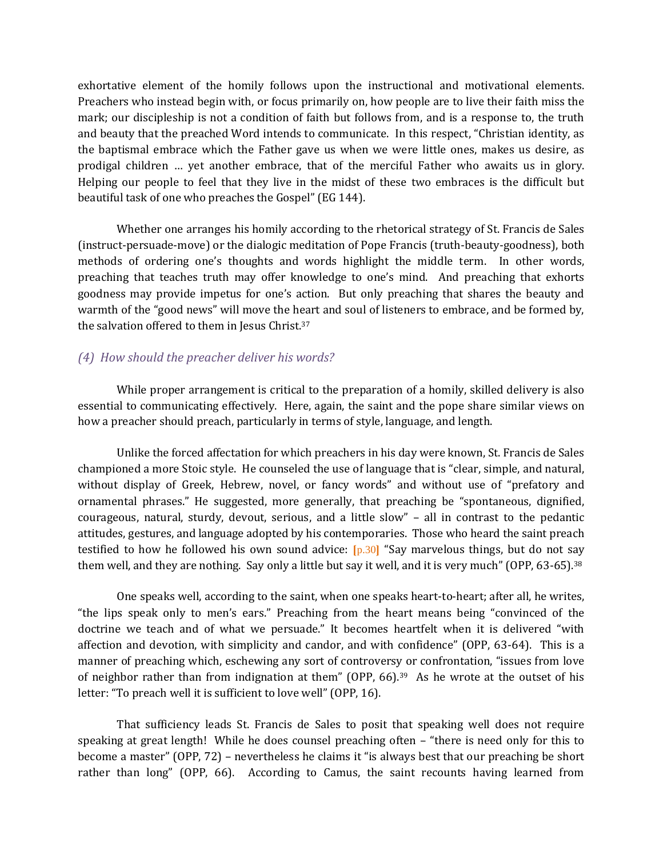exhortative element of the homily follows upon the instructional and motivational elements. Preachers who instead begin with, or focus primarily on, how people are to live their faith miss the mark; our discipleship is not a condition of faith but follows from, and is a response to, the truth and beauty that the preached Word intends to communicate. In this respect, "Christian identity, as the baptismal embrace which the Father gave us when we were little ones, makes us desire, as prodigal children … yet another embrace, that of the merciful Father who awaits us in glory. Helping our people to feel that they live in the midst of these two embraces is the difficult but beautiful task of one who preaches the Gospel" (EG 144).

Whether one arranges his homily according to the rhetorical strategy of St. Francis de Sales (instruct-persuade-move) or the dialogic meditation of Pope Francis (truth-beauty-goodness), both methods of ordering one's thoughts and words highlight the middle term. In other words, preaching that teaches truth may offer knowledge to one's mind. And preaching that exhorts goodness may provide impetus for one's action. But only preaching that shares the beauty and warmth of the "good news" will move the heart and soul of listeners to embrace, and be formed by, the salvation offered to them in Jesus Christ.<sup>37</sup>

#### *(4) How should the preacher deliver his words?*

While proper arrangement is critical to the preparation of a homily, skilled delivery is also essential to communicating effectively. Here, again, the saint and the pope share similar views on how a preacher should preach, particularly in terms of style, language, and length.

Unlike the forced affectation for which preachers in his day were known, St. Francis de Sales championed a more Stoic style. He counseled the use of language that is "clear, simple, and natural, without display of Greek, Hebrew, novel, or fancy words" and without use of "prefatory and ornamental phrases." He suggested, more generally, that preaching be "spontaneous, dignified, courageous, natural, sturdy, devout, serious, and a little slow" – all in contrast to the pedantic attitudes, gestures, and language adopted by his contemporaries. Those who heard the saint preach testified to how he followed his own sound advice:  $[p.30]$  "Say marvelous things, but do not say them well, and they are nothing. Say only a little but say it well, and it is very much" (OPP, 63-65).<sup>38</sup>

One speaks well, according to the saint, when one speaks heart-to-heart; after all, he writes, "the lips speak only to men's ears." Preaching from the heart means being "convinced of the doctrine we teach and of what we persuade." It becomes heartfelt when it is delivered "with affection and devotion, with simplicity and candor, and with confidence" (OPP, 63-64). This is a manner of preaching which, eschewing any sort of controversy or confrontation, "issues from love of neighbor rather than from indignation at them" (OPP, 66).<sup>39</sup> As he wrote at the outset of his letter: "To preach well it is sufficient to love well" (OPP, 16).

That sufficiency leads St. Francis de Sales to posit that speaking well does not require speaking at great length! While he does counsel preaching often – "there is need only for this to become a master" (OPP, 72) – nevertheless he claims it "is always best that our preaching be short rather than long" (OPP, 66). According to Camus, the saint recounts having learned from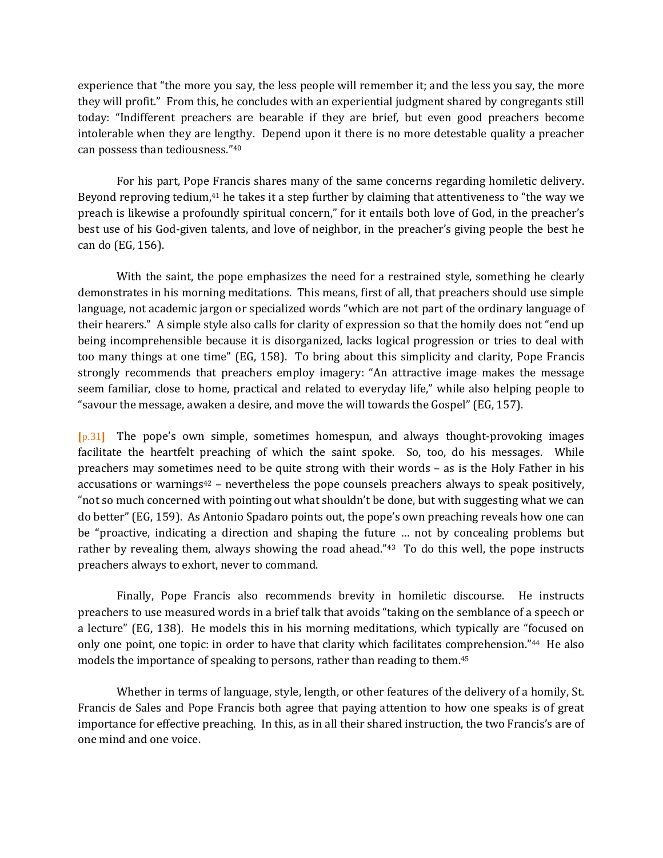experience that "the more you say, the less people will remember it; and the less you say, the more they will profit." From this, he concludes with an experiential judgment shared by congregants still today: "Indifferent preachers are bearable if they are brief, but even good preachers become intolerable when they are lengthy. Depend upon it there is no more detestable quality a preacher can possess than tediousness."<sup>40</sup>

For his part, Pope Francis shares many of the same concerns regarding homiletic delivery. Beyond reproving tedium,<sup>41</sup> he takes it a step further by claiming that attentiveness to "the way we preach is likewise a profoundly spiritual concern," for it entails both love of God, in the preacher's best use of his God-given talents, and love of neighbor, in the preacher's giving people the best he can do (EG, 156).

With the saint, the pope emphasizes the need for a restrained style, something he clearly demonstrates in his morning meditations. This means, first of all, that preachers should use simple language, not academic jargon or specialized words "which are not part of the ordinary language of their hearers." A simple style also calls for clarity of expression so that the homily does not "end up being incomprehensible because it is disorganized, lacks logical progression or tries to deal with too many things at one time" (EG, 158). To bring about this simplicity and clarity, Pope Francis strongly recommends that preachers employ imagery: "An attractive image makes the message seem familiar, close to home, practical and related to everyday life," while also helping people to "savour the message, awaken a desire, and move the will towards the Gospel" (EG, 157).

⦗p.31⦘ The pope's own simple, sometimes homespun, and always thought-provoking images facilitate the heartfelt preaching of which the saint spoke. So, too, do his messages. While preachers may sometimes need to be quite strong with their words – as is the Holy Father in his accusations or warnings $42$  – nevertheless the pope counsels preachers always to speak positively, "not so much concerned with pointing out what shouldn't be done, but with suggesting what we can do better" (EG, 159). As Antonio Spadaro points out, the pope's own preaching reveals how one can be "proactive, indicating a direction and shaping the future … not by concealing problems but rather by revealing them, always showing the road ahead."<sup>43</sup> To do this well, the pope instructs preachers always to exhort, never to command.

Finally, Pope Francis also recommends brevity in homiletic discourse. He instructs preachers to use measured words in a brief talk that avoids "taking on the semblance of a speech or a lecture" (EG, 138). He models this in his morning meditations, which typically are "focused on only one point, one topic: in order to have that clarity which facilitates comprehension."44 He also models the importance of speaking to persons, rather than reading to them.<sup>45</sup>

Whether in terms of language, style, length, or other features of the delivery of a homily, St. Francis de Sales and Pope Francis both agree that paying attention to how one speaks is of great importance for effective preaching. In this, as in all their shared instruction, the two Francis's are of one mind and one voice.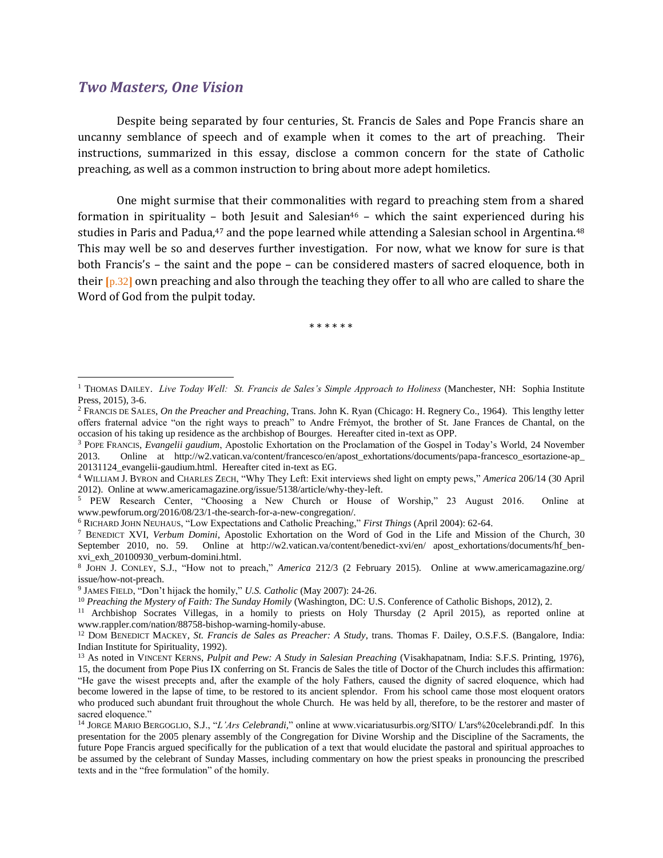#### *Two Masters, One Vision*

 $\overline{a}$ 

Despite being separated by four centuries, St. Francis de Sales and Pope Francis share an uncanny semblance of speech and of example when it comes to the art of preaching. Their instructions, summarized in this essay, disclose a common concern for the state of Catholic preaching, as well as a common instruction to bring about more adept homiletics.

One might surmise that their commonalities with regard to preaching stem from a shared formation in spirituality – both Jesuit and Salesian<sup>46</sup> – which the saint experienced during his studies in Paris and Padua,<sup>47</sup> and the pope learned while attending a Salesian school in Argentina.<sup>48</sup> This may well be so and deserves further investigation. For now, what we know for sure is that both Francis's – the saint and the pope – can be considered masters of sacred eloquence, both in their  $[p.32]$  own preaching and also through the teaching they offer to all who are called to share the Word of God from the pulpit today.

\* \* \* \* \* \*

<sup>&</sup>lt;sup>1</sup> THOMAS DAILEY. *Live Today Well: St. Francis de Sales's Simple Approach to Holiness* (Manchester, NH: Sophia Institute Press, 2015), 3-6.

<sup>2</sup> FRANCIS DE SALES, *On the Preacher and Preaching*, Trans. John K. Ryan (Chicago: H. Regnery Co., 1964). This lengthy letter offers fraternal advice "on the right ways to preach" to Andre Frémyot, the brother of St. Jane Frances de Chantal, on the occasion of his taking up residence as the archbishop of Bourges. Hereafter cited in-text as OPP.

<sup>3</sup> POPE FRANCIS, *Evangelii gaudium*, Apostolic Exhortation on the Proclamation of the Gospel in Today's World, 24 November 2013. Online at http://w2.vatican.va/content/francesco/en/apost\_exhortations/documents/papa-francesco\_esortazione-ap\_ 20131124\_evangelii-gaudium.html. Hereafter cited in-text as EG.

<sup>4</sup> WILLIAM J. BYRON and CHARLES ZECH, "Why They Left: Exit interviews shed light on empty pews," *America* 206/14 (30 April 2012). Online at www.americamagazine.org/issue/5138/article/why-they-left.

<sup>5</sup> PEW Research Center, "Choosing a New Church or House of Worship," 23 August 2016. Online at www.pewforum.org/2016/08/23/1-the-search-for-a-new-congregation/.

<sup>6</sup> RICHARD JOHN NEUHAUS, "Low Expectations and Catholic Preaching," *First Things* (April 2004): 62-64.

<sup>7</sup> BENEDICT XVI, *Verbum Domini*, Apostolic Exhortation on the Word of God in the Life and Mission of the Church, 30 September 2010, no. 59. Online at http://w2.vatican.va/content/benedict-xvi/en/ apost\_exhortations/documents/hf\_benxvi\_exh\_20100930\_verbum-domini.html.

<sup>8</sup> JOHN J. CONLEY, S.J., "How not to preach," *America* 212/3 (2 February 2015). Online at www.americamagazine.org/ issue/how-not-preach.

<sup>9</sup> JAMES FIELD, "Don't hijack the homily," *U.S. Catholic* (May 2007): 24-26.

<sup>10</sup> *Preaching the Mystery of Faith: The Sunday Homily* (Washington, DC: U.S. Conference of Catholic Bishops, 2012), 2.

<sup>11</sup> Archbishop Socrates Villegas, in a homily to priests on Holy Thursday (2 April 2015), as reported online at www.rappler.com/nation/88758-bishop-warning-homily-abuse.

<sup>12</sup> DOM BENEDICT MACKEY, *St. Francis de Sales as Preacher: A Study*, trans. Thomas F. Dailey, O.S.F.S. (Bangalore, India: Indian Institute for Spirituality, 1992).

<sup>13</sup> As noted in VINCENT KERNS, *Pulpit and Pew: A Study in Salesian Preaching* (Visakhapatnam, India: S.F.S. Printing, 1976), 15, the document from Pope Pius IX conferring on St. Francis de Sales the title of Doctor of the Church includes this affirmation: "He gave the wisest precepts and, after the example of the holy Fathers, caused the dignity of sacred eloquence, which had become lowered in the lapse of time, to be restored to its ancient splendor. From his school came those most eloquent orators who produced such abundant fruit throughout the whole Church. He was held by all, therefore, to be the restorer and master of sacred eloquence."

<sup>14</sup> JORGE MARIO BERGOGLIO, S.J., "*L'Ars Celebrandi,*" online at www.vicariatusurbis.org/SITO/ L'ars%20celebrandi.pdf. In this presentation for the 2005 plenary assembly of the Congregation for Divine Worship and the Discipline of the Sacraments, the future Pope Francis argued specifically for the publication of a text that would elucidate the pastoral and spiritual approaches to be assumed by the celebrant of Sunday Masses, including commentary on how the priest speaks in pronouncing the prescribed texts and in the "free formulation" of the homily.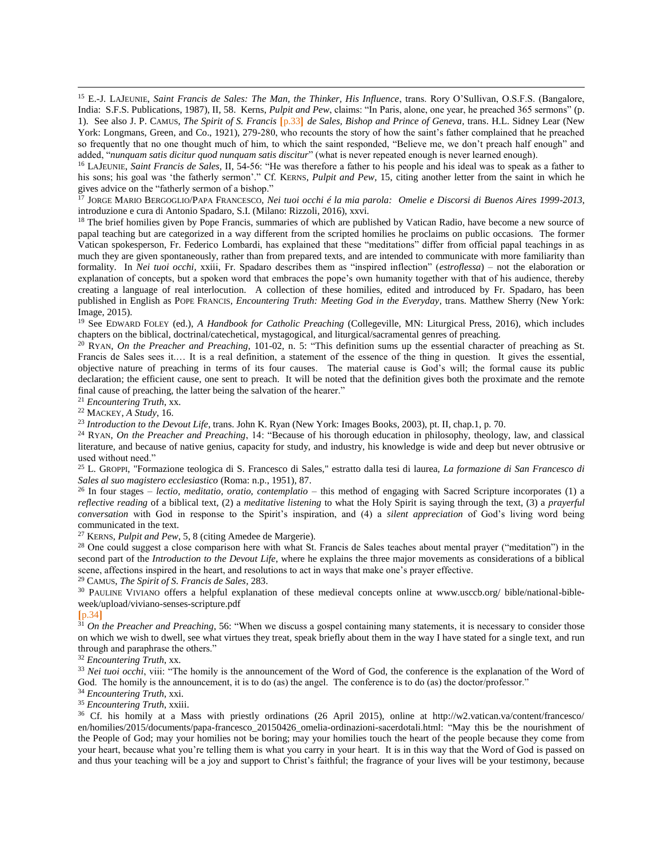<sup>15</sup> E.-J. LAJEUNIE, *Saint Francis de Sales: The Man, the Thinker, His Influence*, trans. Rory O'Sullivan, O.S.F.S. (Bangalore, India: S.F.S. Publications, 1987), II, 58. Kerns, *Pulpit and Pew*, claims: "In Paris, alone, one year, he preached 365 sermons" (p. 1). See also J. P. CAMUS, *The Spirit of S. Francis* ⦗p.33⦘ *de Sales, Bishop and Prince of Geneva,* trans. H.L. Sidney Lear (New York: Longmans, Green, and Co., 1921), 279-280, who recounts the story of how the saint's father complained that he preached so frequently that no one thought much of him, to which the saint responded, "Believe me, we don't preach half enough" and added, "*nunquam satis dicitur quod nunquam satis discitur*" (what is never repeated enough is never learned enough).

<sup>16</sup> LAJEUNIE, *Saint Francis de Sales,* II, 54-56: "He was therefore a father to his people and his ideal was to speak as a father to his sons; his goal was 'the fatherly sermon'." Cf. KERNS, *Pulpit and Pew*, 15, citing another letter from the saint in which he gives advice on the "fatherly sermon of a bishop."

<sup>17</sup> JORGE MARIO BERGOGLIO/PAPA FRANCESCO, *Nei tuoi occhi é la mia parola: Omelie e Discorsi di Buenos Aires 1999-2013*, introduzione e cura di Antonio Spadaro, S.I. (Milano: Rizzoli, 2016), xxvi.

<sup>18</sup> The brief homilies given by Pope Francis, summaries of which are published by Vatican Radio, have become a new source of papal teaching but are categorized in a way different from the scripted homilies he proclaims on public occasions. The former Vatican spokesperson, Fr. Federico Lombardi, has explained that these "meditations" differ from official papal teachings in as much they are given spontaneously, rather than from prepared texts, and are intended to communicate with more familiarity than formality. In *Nei tuoi occhi*, xxiii, Fr. Spadaro describes them as "inspired inflection" (*estroflessa*) – not the elaboration or explanation of concepts, but a spoken word that embraces the pope's own humanity together with that of his audience, thereby creating a language of real interlocution. A collection of these homilies, edited and introduced by Fr. Spadaro, has been published in English as POPE FRANCIS*, Encountering Truth: Meeting God in the Everyday*, trans. Matthew Sherry (New York: Image, 2015).

<sup>19</sup> See EDWARD FOLEY (ed.), *A Handbook for Catholic Preaching* (Collegeville, MN: Liturgical Press, 2016), which includes chapters on the biblical, doctrinal/catechetical, mystagogical, and liturgical/sacramental genres of preaching.

<sup>20</sup> RYAN, *On the Preacher and Preaching*, 101-02, n. 5: "This definition sums up the essential character of preaching as St. Francis de Sales sees it.... It is a real definition, a statement of the essence of the thing in question. It gives the essential, objective nature of preaching in terms of its four causes. The material cause is God's will; the formal cause its public declaration; the efficient cause, one sent to preach. It will be noted that the definition gives both the proximate and the remote final cause of preaching, the latter being the salvation of the hearer."

<sup>21</sup> *Encountering Truth*, xx.

<sup>22</sup> MACKEY, *A Study*, 16.

 $\overline{a}$ 

<sup>23</sup> *Introduction to the Devout Life*, trans. John K. Ryan (New York: Images Books, 2003), pt. II, chap.1, p. 70.

<sup>24</sup> RYAN, *On the Preacher and Preaching*, 14: "Because of his thorough education in philosophy, theology, law, and classical literature, and because of native genius, capacity for study, and industry, his knowledge is wide and deep but never obtrusive or used without need."

<sup>25</sup> L. GROPPI, "Formazione teologica di S. Francesco di Sales," estratto dalla tesi di laurea, *La formazione di San Francesco di Sales al suo magistero ecclesiastico* (Roma: n.p., 1951), 87.

<sup>26</sup> In four stages – *lectio, meditatio, oratio, contemplatio* – this method of engaging with Sacred Scripture incorporates (1) a *reflective reading* of a biblical text, (2) a *meditative listening* to what the Holy Spirit is saying through the text, (3) a *prayerful conversation* with God in response to the Spirit's inspiration, and (4) a *silent appreciation* of God's living word being communicated in the text.

<sup>27</sup> KERNS, *Pulpit and Pew*, 5, 8 (citing Amedee de Margerie).

<sup>28</sup> One could suggest a close comparison here with what St. Francis de Sales teaches about mental prayer ("meditation") in the second part of the *Introduction to the Devout Life*, where he explains the three major movements as considerations of a biblical scene, affections inspired in the heart, and resolutions to act in ways that make one's prayer effective.

<sup>29</sup> CAMUS, *The Spirit of S. Francis de Sales*, 283.

<sup>30</sup> PAULINE VIVIANO offers a helpful explanation of these medieval concepts online at www.usccb.org/ bible/national-bibleweek/upload/viviano-senses-scripture.pdf

#### $[p.34]$

<sup>31</sup> *On the Preacher and Preaching*, 56: "When we discuss a gospel containing many statements, it is necessary to consider those on which we wish to dwell, see what virtues they treat, speak briefly about them in the way I have stated for a single text, and run through and paraphrase the others."

<sup>32</sup> *Encountering Truth*, xx.

<sup>33</sup> *Nei tuoi occhi*, viii: "The homily is the announcement of the Word of God, the conference is the explanation of the Word of God. The homily is the announcement, it is to do (as) the angel. The conference is to do (as) the doctor/professor."

<sup>34</sup> *Encountering Truth*, xxi.

<sup>35</sup> *Encountering Truth*, xxiii.

<sup>36</sup> Cf. his homily at a Mass with priestly ordinations (26 April 2015), online at http://w2.vatican.va/content/francesco/ en/homilies/2015/documents/papa-francesco\_20150426\_omelia-ordinazioni-sacerdotali.html: "May this be the nourishment of the People of God; may your homilies not be boring; may your homilies touch the heart of the people because they come from your heart, because what you're telling them is what you carry in your heart. It is in this way that the Word of God is passed on and thus your teaching will be a joy and support to Christ's faithful; the fragrance of your lives will be your testimony, because